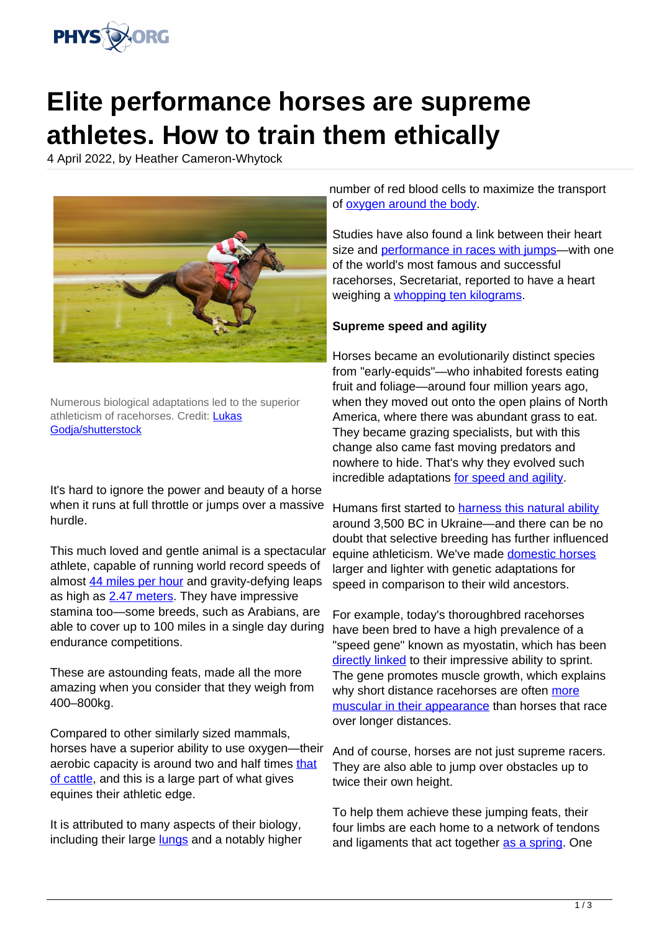

## **Elite performance horses are supreme athletes. How to train them ethically**

4 April 2022, by Heather Cameron-Whytock



Numerous biological adaptations led to the superior athleticism of racehorses. Credit: [Lukas](https://www.shutterstock.com/image-photo/race-horse-jockey-on-home-straight-1399280573) [Godja/shutterstock](https://www.shutterstock.com/image-photo/race-horse-jockey-on-home-straight-1399280573)

It's hard to ignore the power and beauty of a horse when it runs at full throttle or jumps over a massive hurdle.

This much loved and gentle animal is a spectacular athlete, capable of running world record speeds of almost [44 miles per hour](https://www.guinnessworldrecords.com/world-records/fastest-speed-for-a-race-horse) and gravity-defying leaps as high as [2.47 meters.](https://www.guinnessworldrecords.com/world-records/highest-jump-by-a-horse) They have impressive stamina too—some breeds, such as Arabians, are able to cover up to 100 miles in a single day during endurance competitions.

These are astounding feats, made all the more amazing when you consider that they weigh from 400–800kg.

Compared to other similarly sized mammals, horses have a superior ability to use oxygen—their aerobic capacity is around two and half times [that](https://journals.physiology.org/doi/abs/10.1152/jappl.1989.67.2.862?rfr_dat=cr_pub++0pubmed&url_ver=Z39.88-2003&rfr_id=ori%3Arid%3Acrossref.org) [of cattle,](https://journals.physiology.org/doi/abs/10.1152/jappl.1989.67.2.862?rfr_dat=cr_pub++0pubmed&url_ver=Z39.88-2003&rfr_id=ori%3Arid%3Acrossref.org) and this is a large part of what gives equines their athletic edge.

It is attributed to many aspects of their biology, including their large **[lungs](https://journals.physiology.org/doi/abs/10.1152/jappl.1989.67.2.871?rfr_dat=cr_pub++0pubmed&url_ver=Z39.88-2003&rfr_id=ori%3Arid%3Acrossref.org)** and a notably higher number of red blood cells to maximize the transport of [oxygen around the body.](https://www.sciencedirect.com/science/article/pii/B9780702028571500032)

Studies have also found a link between their heart size and [performance in races with jumps—](https://journals.physiology.org/doi/full/10.1152/japplphysiol.01319.2004)with one of the world's most famous and successful racehorses, Secretariat, reported to have a heart weighing a [whopping ten kilograms.](https://onlinelibrary.wiley.com/doi/full/10.1002/cphy.c091001)

## **Supreme speed and agility**

Horses became an evolutionarily distinct species from "early-equids"—who inhabited forests eating fruit and foliage—around four million years ago, when they moved out onto the open plains of North America, where there was abundant grass to eat. They became grazing specialists, but with this change also came fast moving predators and nowhere to hide. That's why they evolved such incredible adaptations [for speed and agility.](https://www.journals.uchicago.edu/doi/epdf/10.1086/394242)

Humans first started to [harness this natural ability](https://www.nature.com/articles/s41586-021-04018-9) around 3,500 BC in Ukraine—and there can be no doubt that selective breeding has further influenced equine athleticism. We've made [domestic horses](https://phys.org/tags/domestic+horses/) larger and lighter with genetic adaptations for speed in comparison to their wild ancestors.

For example, today's thoroughbred racehorses have been bred to have a high prevalence of a "speed gene" known as myostatin, which has been [directly linked](https://journals.plos.org/plosone/article?id=10.1371/journal.pone.0205664) to their impressive ability to sprint. The gene promotes muscle growth, which explains why short distance racehorses are often [more](https://onlinelibrary.wiley.com/doi/full/10.1111/j.1365-2052.2010.02126.x) [muscular in their appearance](https://onlinelibrary.wiley.com/doi/full/10.1111/j.1365-2052.2010.02126.x) than horses that race over longer distances.

And of course, horses are not just supreme racers. They are also able to jump over obstacles up to twice their own height.

To help them achieve these jumping feats, their four limbs are each home to a network of tendons and ligaments that act together [as a spring](https://www.sciencedirect.com/science/article/pii/B978070202857150007X). One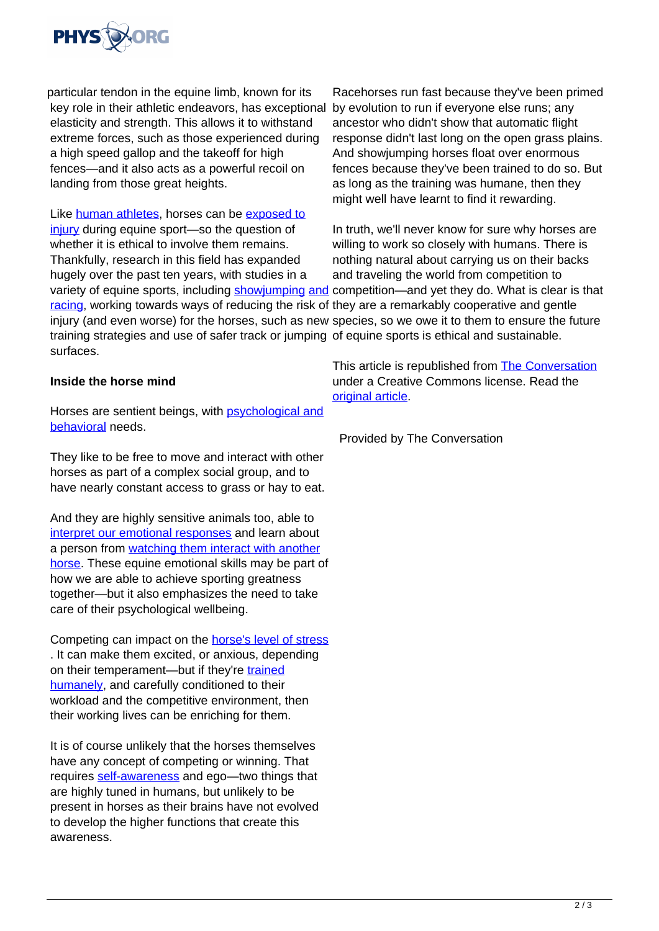

particular tendon in the equine limb, known for its key role in their athletic endeavors, has exceptional elasticity and strength. This allows it to withstand extreme forces, such as those experienced during a high speed gallop and the takeoff for high fences—and it also acts as a powerful recoil on landing from those great heights.

Like [human athletes,](https://phys.org/tags/human+athletes/) horses can be [exposed to](https://beva.onlinelibrary.wiley.com/doi/10.1111/j.2042-3306.2001.tb05349.x) [injury](https://beva.onlinelibrary.wiley.com/doi/10.1111/j.2042-3306.2001.tb05349.x) during equine sport—so the question of whether it is ethical to involve them remains. Thankfully, research in this field has expanded hugely over the past ten years, with studies in a variety of equine sports, including [showjumping](https://www.sciencedirect.com/science/article/pii/S0167587713002912?casa_token=sWjvyAzXEtMAAAAA:Zru8i1ISmACm7V3gqUwLwcokddQTPymghX60tNLmZeC0B738S1HhwKvPYrCp9Na9was5rVoDsjg) [and](https://www.sciencedirect.com/science/article/pii/S1090023318307603?casa_token=2KjXgW0MPBsAAAAA:Ioiep0-CR_5QRoG5KrXdybPyZgj5R_XWsRGNyED7YmGelPO0xD72jbsjcfFF_DRRJ2-iKJBxCXI) competition—and yet they do. What is clear is that [racing](https://www.sciencedirect.com/science/article/pii/S1090023318307603?casa_token=2KjXgW0MPBsAAAAA:Ioiep0-CR_5QRoG5KrXdybPyZgj5R_XWsRGNyED7YmGelPO0xD72jbsjcfFF_DRRJ2-iKJBxCXI), working towards ways of reducing the risk of they are a remarkably cooperative and gentle injury (and even worse) for the horses, such as new species, so we owe it to them to ensure the future training strategies and use of safer track or jumping of equine sports is ethical and sustainable. surfaces.

## **Inside the horse mind**

Horses are sentient beings, with **[psychological and](https://link.springer.com/book/10.1007/978-0-306-48215-1?noAccess=true)** [behavioral](https://link.springer.com/book/10.1007/978-0-306-48215-1?noAccess=true) needs.

They like to be free to move and interact with other horses as part of a complex social group, and to have nearly constant access to grass or hay to eat.

And they are highly sensitive animals too, able to [interpret our emotional responses](https://royalsocietypublishing.org/doi/full/10.1098/rsbl.2015.0907) and learn about a person from [watching them interact with another](https://link.springer.com/article/10.1007/s10071-020-01369-0) [horse.](https://link.springer.com/article/10.1007/s10071-020-01369-0) These equine emotional skills may be part of how we are able to achieve sporting greatness together—but it also emphasizes the need to take care of their psychological wellbeing.

Competing can impact on the [horse's level of stress](https://www.sciencedirect.com/science/article/pii/S0737080615300721?casa_token=yazwPbZMy34AAAAA:KT7oS%E2%80%94whJPfwH6AhBfub8fbBEAkebSfGVUaieO6sGI4QYssKl-_-xOoBcVTf3UUE65x2DykyX6P) . It can make them excited, or anxious, depending on their temperament—but if they're [trained](https://www.sciencedirect.com/science/article/abs/pii/S1558787810000766?casa_token=Vj4z2v0wBxcAAAAA:gDyu5B2v-QX1s4sbaUKAtIh1lS1hA6jmWlw9iukpmC3gFqCVpX3F3Q84WrZ2Or-WwB6uh857q-e3) [humanely](https://www.sciencedirect.com/science/article/abs/pii/S1558787810000766?casa_token=Vj4z2v0wBxcAAAAA:gDyu5B2v-QX1s4sbaUKAtIh1lS1hA6jmWlw9iukpmC3gFqCVpX3F3Q84WrZ2Or-WwB6uh857q-e3), and carefully conditioned to their workload and the competitive environment, then their working lives can be enriching for them.

It is of course unlikely that the horses themselves have any concept of competing or winning. That requires [self-awareness](https://www.nature.com/articles/419255a) and ego—two things that are highly tuned in humans, but unlikely to be present in horses as their brains have not evolved to develop the higher functions that create this awareness.

Racehorses run fast because they've been primed by evolution to run if everyone else runs; any ancestor who didn't show that automatic flight response didn't last long on the open grass plains. And showjumping horses float over enormous fences because they've been trained to do so. But as long as the training was humane, then they might well have learnt to find it rewarding.

In truth, we'll never know for sure why horses are willing to work so closely with humans. There is nothing natural about carrying us on their backs and traveling the world from competition to

This article is republished from [The Conversation](https://theconversation.com) under a Creative Commons license. Read the [original article](https://theconversation.com/elite-performance-horses-why-theyre-supreme-athletes-and-how-to-train-them-ethically-180295).

Provided by The Conversation